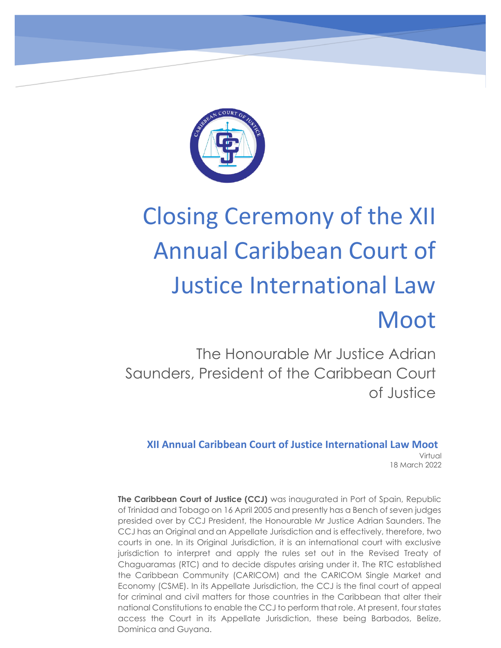

# Closing Ceremony of the XII Annual Caribbean Court of Justice International Law Moot

The Honourable Mr Justice Adrian Saunders, President of the Caribbean Court of Justice

**XII Annual Caribbean Court of Justice International Law Moot** Virtual 18 March 2022

**The Caribbean Court of Justice (CCJ)** was inaugurated in Port of Spain, Republic of Trinidad and Tobago on 16 April 2005 and presently has a Bench of seven judges presided over by CCJ President, the Honourable Mr Justice Adrian Saunders. The CCJ has an Original and an Appellate Jurisdiction and is effectively, therefore, two courts in one. In its Original Jurisdiction, it is an international court with exclusive jurisdiction to interpret and apply the rules set out in the Revised Treaty of Chaguaramas (RTC) and to decide disputes arising under it. The RTC established  the Caribbean Community (CARICOM) and the CARICOM Single Market and Economy (CSME). In its Appellate Jurisdiction, the CCJ is the final court of appeal for criminal and civil matters for those countries in the Caribbean that alter their national Constitutions to enable the CCJ to perform that role. At present, four states access the Court in its Appellate Jurisdiction, these being Barbados, Belize, Dominica and Guyana.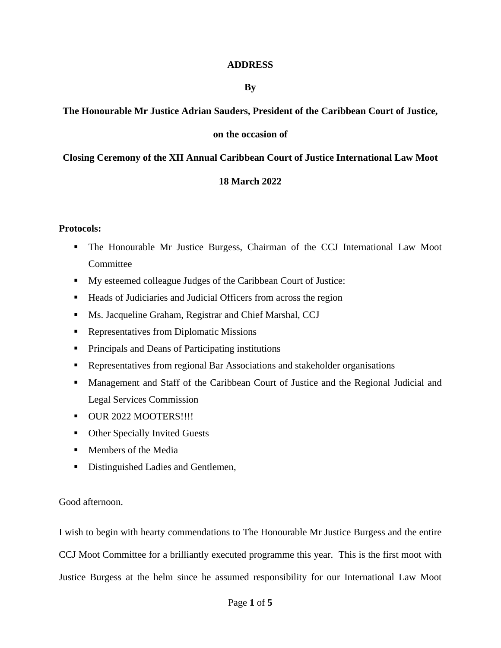#### **ADDRESS**

#### **By**

## **The Honourable Mr Justice Adrian Sauders, President of the Caribbean Court of Justice,**

### **on the occasion of**

### **Closing Ceremony of the XII Annual Caribbean Court of Justice International Law Moot**

### **18 March 2022**

#### **Protocols:**

- The Honourable Mr Justice Burgess, Chairman of the CCJ International Law Moot **Committee**
- My esteemed colleague Judges of the Caribbean Court of Justice:
- Heads of Judiciaries and Judicial Officers from across the region
- **EXECUTE:** Ms. Jacqueline Graham, Registrar and Chief Marshal, CCJ
- Representatives from Diplomatic Missions
- Principals and Deans of Participating institutions
- **EXECUTE:** Representatives from regional Bar Associations and stakeholder organisations
- **■** Management and Staff of the Caribbean Court of Justice and the Regional Judicial and Legal Services Commission
- **OUR 2022 MOOTERS!!!!**
- Other Specially Invited Guests
- Members of the Media
- Distinguished Ladies and Gentlemen,

Good afternoon.

I wish to begin with hearty commendations to The Honourable Mr Justice Burgess and the entire CCJ Moot Committee for a brilliantly executed programme this year. This is the first moot with Justice Burgess at the helm since he assumed responsibility for our International Law Moot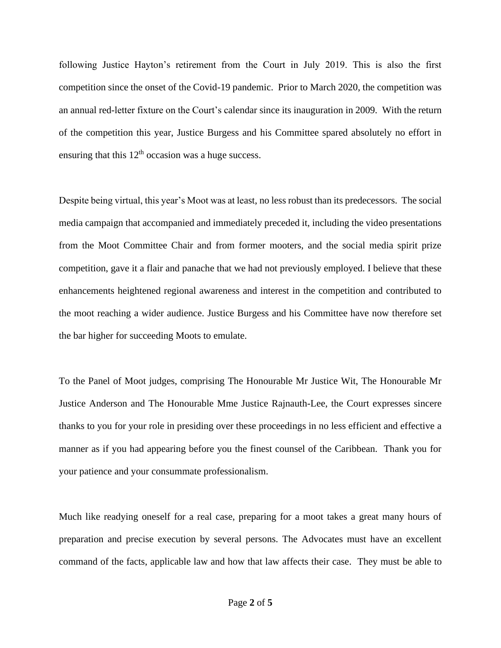following Justice Hayton's retirement from the Court in July 2019. This is also the first competition since the onset of the Covid-19 pandemic. Prior to March 2020, the competition was an annual red-letter fixture on the Court's calendar since its inauguration in 2009. With the return of the competition this year, Justice Burgess and his Committee spared absolutely no effort in ensuring that this  $12<sup>th</sup>$  occasion was a huge success.

Despite being virtual, this year's Moot was at least, no less robust than its predecessors. The social media campaign that accompanied and immediately preceded it, including the video presentations from the Moot Committee Chair and from former mooters, and the social media spirit prize competition, gave it a flair and panache that we had not previously employed. I believe that these enhancements heightened regional awareness and interest in the competition and contributed to the moot reaching a wider audience. Justice Burgess and his Committee have now therefore set the bar higher for succeeding Moots to emulate.

To the Panel of Moot judges, comprising The Honourable Mr Justice Wit, The Honourable Mr Justice Anderson and The Honourable Mme Justice Rajnauth-Lee, the Court expresses sincere thanks to you for your role in presiding over these proceedings in no less efficient and effective a manner as if you had appearing before you the finest counsel of the Caribbean. Thank you for your patience and your consummate professionalism.

Much like readying oneself for a real case, preparing for a moot takes a great many hours of preparation and precise execution by several persons. The Advocates must have an excellent command of the facts, applicable law and how that law affects their case. They must be able to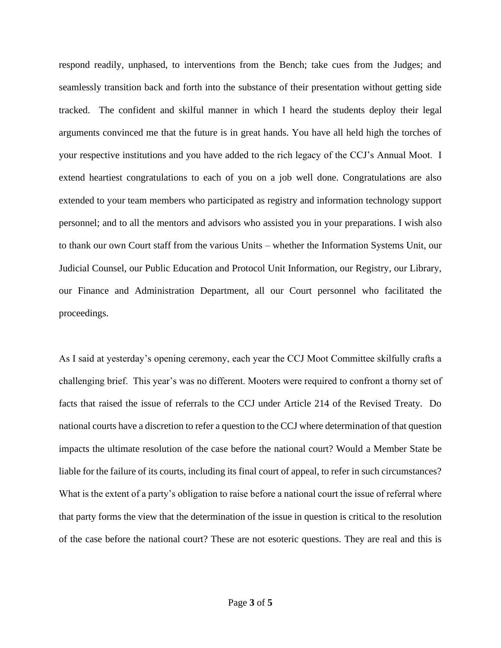respond readily, unphased, to interventions from the Bench; take cues from the Judges; and seamlessly transition back and forth into the substance of their presentation without getting side tracked. The confident and skilful manner in which I heard the students deploy their legal arguments convinced me that the future is in great hands. You have all held high the torches of your respective institutions and you have added to the rich legacy of the CCJ's Annual Moot. I extend heartiest congratulations to each of you on a job well done. Congratulations are also extended to your team members who participated as registry and information technology support personnel; and to all the mentors and advisors who assisted you in your preparations. I wish also to thank our own Court staff from the various Units – whether the Information Systems Unit, our Judicial Counsel, our Public Education and Protocol Unit Information, our Registry, our Library, our Finance and Administration Department, all our Court personnel who facilitated the proceedings.

As I said at yesterday's opening ceremony, each year the CCJ Moot Committee skilfully crafts a challenging brief. This year's was no different. Mooters were required to confront a thorny set of facts that raised the issue of referrals to the CCJ under Article 214 of the Revised Treaty. Do national courts have a discretion to refer a question to the CCJ where determination of that question impacts the ultimate resolution of the case before the national court? Would a Member State be liable for the failure of its courts, including its final court of appeal, to refer in such circumstances? What is the extent of a party's obligation to raise before a national court the issue of referral where that party forms the view that the determination of the issue in question is critical to the resolution of the case before the national court? These are not esoteric questions. They are real and this is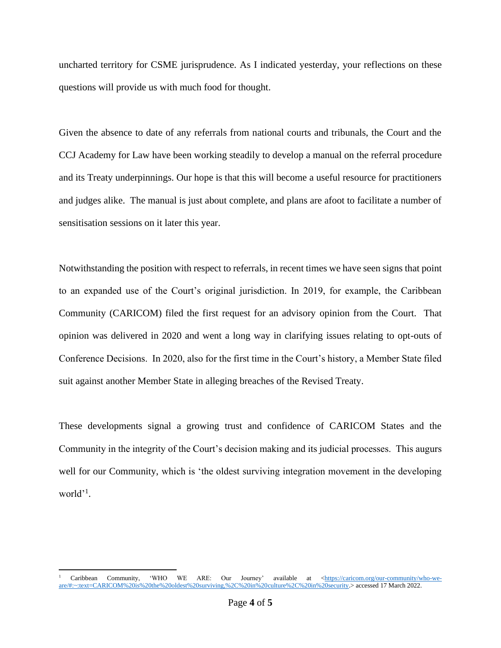uncharted territory for CSME jurisprudence. As I indicated yesterday, your reflections on these questions will provide us with much food for thought.

Given the absence to date of any referrals from national courts and tribunals, the Court and the CCJ Academy for Law have been working steadily to develop a manual on the referral procedure and its Treaty underpinnings. Our hope is that this will become a useful resource for practitioners and judges alike. The manual is just about complete, and plans are afoot to facilitate a number of sensitisation sessions on it later this year.

Notwithstanding the position with respect to referrals, in recent times we have seen signs that point to an expanded use of the Court's original jurisdiction. In 2019, for example, the Caribbean Community (CARICOM) filed the first request for an advisory opinion from the Court. That opinion was delivered in 2020 and went a long way in clarifying issues relating to opt-outs of Conference Decisions. In 2020, also for the first time in the Court's history, a Member State filed suit against another Member State in alleging breaches of the Revised Treaty.

These developments signal a growing trust and confidence of CARICOM States and the Community in the integrity of the Court's decision making and its judicial processes. This augurs well for our Community, which is 'the oldest surviving integration movement in the developing world'<sup>1</sup>.

Caribbean Community, 'WHO WE ARE: Our Journey' available at [<https://caricom.org/our-community/who-we](https://caricom.org/our-community/who-we-are/#:~:text=CARICOM%20is%20the%20oldest%20surviving,%2C%20in%20culture%2C%20in%20security)[are/#:~:text=CARICOM%20is%20the%20oldest%20surviving,%2C%20in%20culture%2C%20in%20security.>](https://caricom.org/our-community/who-we-are/#:~:text=CARICOM%20is%20the%20oldest%20surviving,%2C%20in%20culture%2C%20in%20security) accessed 17 March 2022.